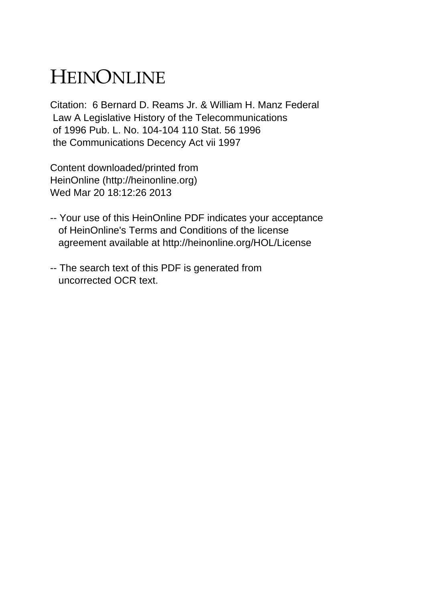# HEINONLINE

Citation: 6 Bernard D. Reams Jr. & William H. Manz Federal Law A Legislative History of the Telecommunications of 1996 Pub. L. No. 104-104 110 Stat. 56 1996 the Communications Decency Act vii 1997

Content downloaded/printed from HeinOnline (http://heinonline.org) Wed Mar 20 18:12:26 2013

- -- Your use of this HeinOnline PDF indicates your acceptance of HeinOnline's Terms and Conditions of the license agreement available at http://heinonline.org/HOL/License
- -- The search text of this PDF is generated from uncorrected OCR text.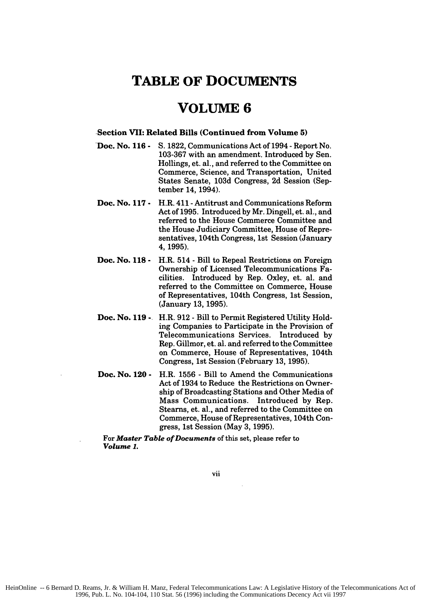## **TABLE OF DOCUMENTS**

## **VOLUME 6**

### **Section VII: Related Bills (Continued from Volume 5)**

- **\*Doe. No. 116 - S.** 1822, Communications Act of 1994 **-** Report No. 103-367 with an amendment. Introduced by Sen. Hollings, et. al., and referred to the Committee on Commerce, Science, and Transportation, United States Senate, 103d Congress, 2d Session (September 14, 1994).
- **Doc. No. 117 -** H.R. 411 - Antitrust and Communications Reform Act of 1995. Introduced by Mr. Dingell, et. al., and referred to the House Commerce Committee and the House Judiciary Committee, House of Representatives, 104th Congress, 1st Session (January 4, 1995).
- **Doc. No. 118 -** H.R. 514 - Bill to Repeal Restrictions on Foreign Ownership of Licensed Telecommunications Facilities. Introduced by Rep. Oxley, et. al. and referred to the Committee on Commerce, House of Representatives, 104th Congress, 1st Session, (January 13, 1995).
- **Doc. No. 119 -** H.R. 912 Bill to Permit Registered Utility Holding Companies to Participate in the Provision of Telecommunications Services. Introduced by Rep. Gillmor, et. al. and referred to the Committee on Commerce, House of Representatives, 104th Congress, 1st Session (February 13, 1995).
- **Doc. No. 120 -** H.R. 1556 - Bill to Amend the Communications Act of 1934 to Reduce the Restrictions on Ownership of Broadcasting Stations and Other Media of Mass Communications. Introduced by Rep. Steams, et. al., and referred to the Committee on Commerce, House of Representatives, 104th Congress, 1st Session (May 3, 1995).

For *Master Table of Documents* of this set, please refer to *Volume 1.*

vii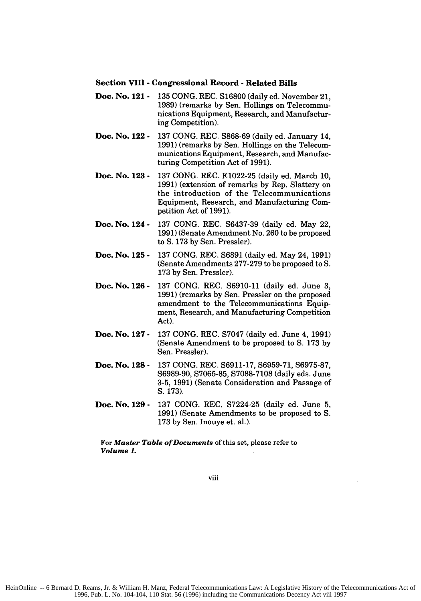#### **Section VIII - Congressional Record - Related Bills**

- **Doc. No. 121 - 135 CONG.** REC. S16800 (daily ed. November 21, 1989) (remarks by Sen. Hollings on Telecommunications Equipment, Research, and Manufacturing Competition).
- **Doc. No. 122 -** 137 CONG. REC. S868-69 (daily ed. January 14, 1991) (remarks by Sen. Hollings on the Telecommunications Equipment, Research, and Manufacturing Competition Act of 1991).
- **Doc. No. 123 -** 137 CONG. REC. E1022-25 (daily ed. March 10, 1991) (extension of remarks by Rep. Slattery on the introduction of the Telecommunications Equipment, Research, and Manufacturing Competition Act of 1991).
- **Doc. No. 124 -** 137 CONG. REC. S6437-39 (daily ed. May 22, 1991) (Senate Amendment No. 260 to be proposed to **S.** 173 by Sen. Pressler).
- **Doc. No. 125 -** 137 CONG. REC. S6891 (daily ed. May 24, 1991) (Senate Amendments 277-279 to be proposed to S. 173 by Sen. Pressler).
- **Doc. No. 126 -** 137 CONG. REC. S6910-11 (daily ed. June 3, 1991) (remarks by Sen. Pressler on the proposed amendment to the Telecommunications Equipment, Research, and Manufacturing Competition Act).
- **Doc. No. 127 -** 137 CONG. REC. S7047 (daily ed. June 4, 1991) (Senate Amendment to be proposed to **S.** 173 by Sen. Pressler).
- **Doc. No. 128 -** 137 CONG. REC. S6911-17, S6959-71, S6975-87, S6989-90, S7065-85, S7088-7108 (daily eds. June 3-5, 1991) (Senate Consideration and Passage of **S.** 173).
- **Doc. No. 129 -** 137 CONG. REC. S7224-25 (daily ed. June 5, 1991) (Senate Amendments to be proposed to S. 173 by Sen. Inouye et. al.).

For *Master Table of Documents* of this set, please refer to *Volume 1.*

viii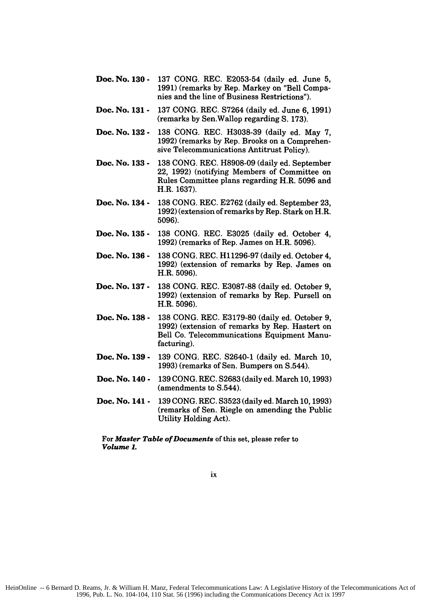- **Doc. No. 130 - 137** CONG. REC. E2053-54 (daily ed. June 5, **1991)** (remarks by Rep. Markey on "Bell Companies and the line of Business Restrictions").
- **Doc. No. 131 -** 137 CONG. REC. S7264 (daily ed. June 6, 1991) (remarks by Sen.Wallop regarding S. 173).
- **Doc. No. 132 -** 138 CONG. REC. H3038-39 (daily ed. May 7, 1992) (remarks by Rep. Brooks on a Comprehensive Telecommunications Antitrust Policy).
- **Doc. No. 133 -** 138 CONG. REC. H8908-09 (daily ed. September 22, 1992) (notifying Members of Committee on Rules Committee plans regarding H.R. 5096 and H.R. 1637).
- **Doc. No. 134 -** 138 CONG. REC. E2762 (daily ed. September 23, 1992) (extension of remarks by Rep. Stark on H.R. 5096).
- **Doc. No. 135 -** 138 CONG. REC. E3025 (daily ed. October 4, 1992) (remarks of Rep. James on H.R. 5096).
- **Doc. No. 136 -** 138 CONG. REC. Hi 1296-97 (daily ed. October 4, 1992) (extension of remarks by Rep. James on H.R. 5096).
- **Doc. No. 137 -** 138 CONG. REC. E3087-88 (daily ed. October 9, 1992) (extension of remarks by Rep. Pursell on H.R. 5096).
- **Doc. No. 138 -** 138 CONG. REC. E3179-80 (daily ed. October 9, 1992) (extension of remarks by Rep. Hastert on Bell Co. Telecommunications Equipment Manufacturing).
- **Doc. No. 139 -** 139 CONG. REC. S2640-1 (daily ed. March 10, 1993) (remarks of Sen. Bumpers on S.544).
- **Doc. No. 140 .** 139 CONG. REC. S2683 (daily ed. March 10, 1993) (amendments to S.544).
- **Doc. No. 141 -** 139 CONG. REC. S3523 (daily ed. March 10, 1993) (remarks of Sen. Riegle on amending the Public Utility Holding Act).

For *Master Table of Documents* of this set, please refer to *Volume 1.*

ix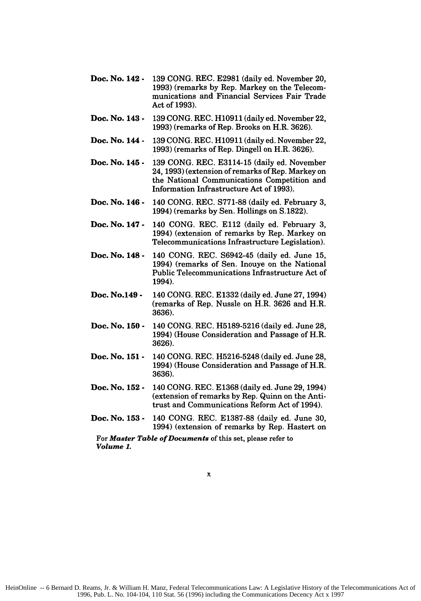- **Doc. No. 142 - 139 CONG.** REC. **E2981** (daily ed. November 20, **1993)** (remarks by Rep. Markey on the Telecommunications and Financial Services Fair Trade Act of 1993).
- **Doc. No. 143 -** 139 CONG. REC. H10911 (daily ed. November 22, 1993) (remarks of Rep. Brooks on H.R. 3626).
- **Doc. No. 144 -** 139 CONG. REC. H10911 (daily ed. November 22, 1993) (remarks of Rep. Dingell on H.R. 3626).
- **Doc. No. 145 -** 139 CONG. REC. E3114-15 (daily ed. November 24, 1993) (extension of remarks of Rep. Markey on the National Communications Competition and Information Infrastructure Act of 1993).
- **Doc. No. 146 -** 140 CONG. REC. S771-88 (daily ed. February 3, 1994) (remarks by Sen. Hollings on S.1822).
- **Doc. No. 147 -** 140 CONG. REC. **E112** (daily ed. February 3, 1994) (extension of remarks by Rep. Markey on Telecommunications Infrastructure Legislation).
- **Doc. No. 148 -** 140 CONG. REC. S6942-45 (daily ed. June 15, 1994) (remarks of Sen. Inouye on the National Public Telecommunications Infrastructure Act of 1994).
- **Doc. No.149 -** 140 CONG. REC. E1332 (daily ed. June 27, 1994) (remarks of Rep. Nussle on H.R. 3626 and H.R. 3636).
- **Doc. No. 150 -** 140 CONG. REC. H5189-5216 (daily ed. June 28, 1994) (House Consideration and Passage of H.R. 3626).
- **Doc. No. 151 -** 140 CONG. REC. H5216-5248 (daily ed. June 28, 1994) (House Consideration and Passage of H.R. 3636).
- **Doc. No. 152 -** 140 CONG. REC. E1368 (daily ed. June 29, 1994) (extension of remarks by Rep. Quinn on the Antitrust and Communications Reform Act of 1994).
- **Doc. No. 153 -** 140 CONG. REC. E1387-88 (daily ed. June 30, 1994) (extension of remarks by Rep. Hastert on

For *Master Table of Documents* of this set, please refer to *Volume 1.*

 $\pmb{\mathsf{x}}$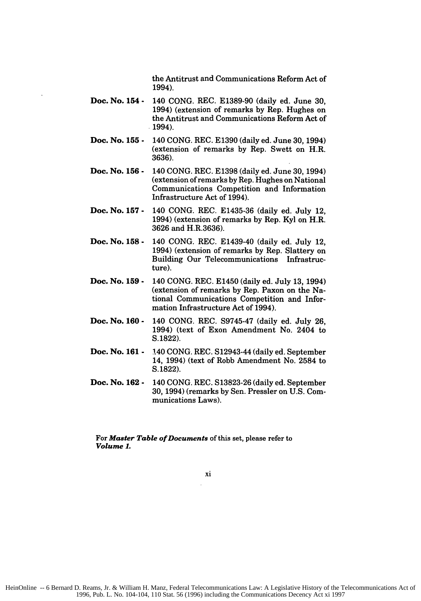the Antitrust and Communications Reform Act of 1994).

- **Doc. No. 154 -** 140 CONG. REC. E1389-90 (daily ed. June 30, 1994) (extension of remarks by Rep. Hughes on the Antitrust and Communications Reform Act of 1994).
- **Doc. No. 155 .** 140 CONG. REC. E1390 (daily ed. June 30, 1994) (extension of remarks by Rep. Swett on H.R. 3636).
- **Doc. No. 156 -** 140 CONG. REC. E1398 (daily ed. June 30, 1994) (extension of remarks by Rep. Hughes on National Communications Competition and Information Infrastructure Act of 1994).
- **Doc. No. 157 -** 140 CONG. REC. E1435-36 (daily ed. July 12, 1994) (extension of remarks by Rep. Kyl on H.R. 3626 and H.R.3636).
- **Doc. No. 158 -** 140 CONG. REC. E1439-40 (daily ed. July 12, 1994) (extension of remarks by Rep. Slattery on Building Our Telecommunications Infrastructure).
- **Doc. No. 159 -** 140 CONG. REC. E1450 (daily ed. July 13, 1994) (extension of remarks by Rep. Paxon on the National Communications Competition and Information Infrastructure Act of 1994).
- **Doc. No. 160 -** 140 CONG. REC. S9745-47 (daily ed. July 26, 1994) (text of Exon Amendment No. 2404 to S.1822).
- **Doc. No. 161 -** 140 CONG. REC. S12943-44 (daily ed. September 14, 1994) (text of Robb Amendment No. 2584 to S.1822).
- **Doc. No. 162 -** 140 CONG. REC. S13823-26 (daily ed. September 30, 1994) (remarks by Sen. Pressler on U.S. Communications Laws).

For *Master Table of Documents* of this set, please refer to *Volume 1.*

xi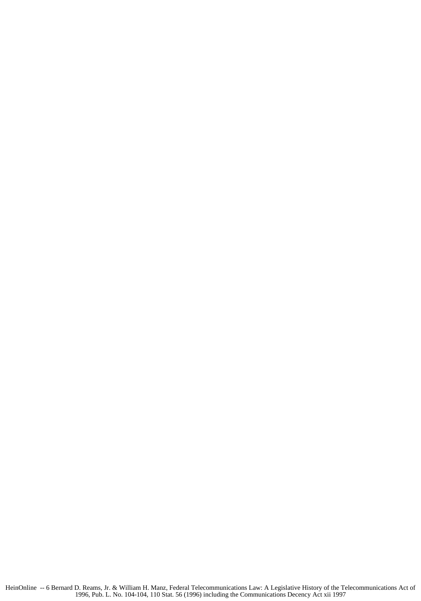HeinOnline -- 6 Bernard D. Reams, Jr. & William H. Manz, Federal Telecommunications Law: A Legislative History of the Telecommunications Act of 1996, Pub. L. No. 104-104, 110 Stat. 56 (1996) including the Communications Decency Act xii 1997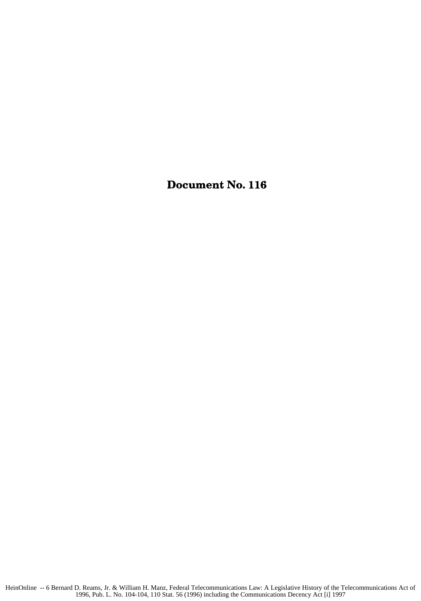Document No. **116**